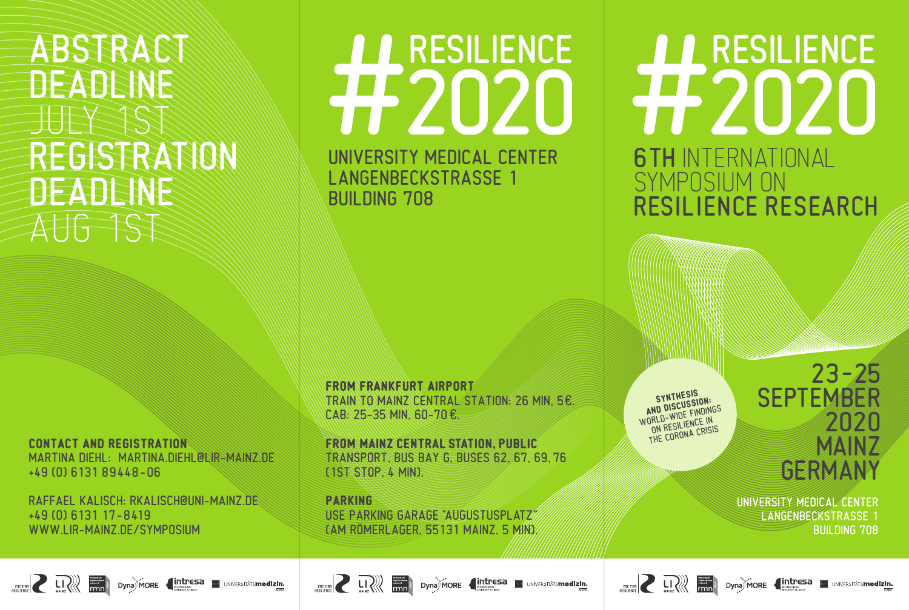## ABSTRACT DEADLINE JULY 1ST REGISTRATION DEADLINE AUG 1ST

**CONTACT AND REGISTRATION** MARTINA DIEHL: MARTINA.DIEHL@LIR-MAINZ.DE +49 (0) 6131 89448–06

RAFFAEL KALISCH: RKALISCH@UNI-MAINZ.DE +49 (0) 6131 17-8419 WWW.LIR-MAINZ.DE/SYMPOSIUM

# UNIVERSITY MEDICAL CENTER RESILIENCE

LANGENBECKSTRASSE 1 BUILDING 708

**FROM FRANKFURT AIRPORT** TRAIN TO MAINZ CENTRAL STATION: 26 MIN, 5€. CAB: 25-35 MIN, 60-70 €.

**FROM MAINZ CENTRAL STATION, PUBLIC** TRANSPORT, BUS BAY G, BUSES 62, 67, 69, 76 (1ST STOP, 4 MIN).

**PARKING** USE PARKING GARAGE "AUGUSTUSPLATZ" (AM RÖMERLAGER, 55131 MAINZ, 5 MIN). **SYNTHESIS<br>
<b>AND DISCUSSION:**<br>
WORLD-WIDE FINDINGS<br>
ON RESILIENCE IN<br>
ON RESILIENCE IN ON RESILIEN CRISIS

6TH INTERNATIONAL

RESILIENCE RESEARCH

H RESILIENCE

SYMPOSIUM ON

## $23 - 25$ **SEPTEMBER** 2020 MAN*z* GERMANY

UNIVERSITY MEDICAL CENTER LANGENBECKSTRASSE 1 BUILDING 708





**EXAMPLE 2** LI 2 Dyna MORE **4 Intresa** Dev UNIVERSITATS **medizin.**